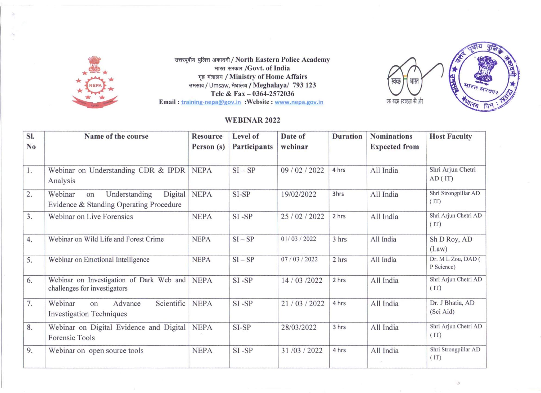



## WEBINAR 2022

|                                              |                                                                                              |                               |                                                                                                                    |                                                          |                 |                       | तवीय                                                                       |
|----------------------------------------------|----------------------------------------------------------------------------------------------|-------------------------------|--------------------------------------------------------------------------------------------------------------------|----------------------------------------------------------|-----------------|-----------------------|----------------------------------------------------------------------------|
|                                              |                                                                                              |                               | भारत सरकार /Govt. of India                                                                                         | उत्तरपूर्वीय पुलिस अकादमी / North Eastern Police Academy |                 |                       | 15                                                                         |
|                                              |                                                                                              |                               | गृह मंत्रालय / Ministry of Home Affairs<br>उमसाव / Umsaw, मेघालय / Meghalaya/ 793 123<br>Tele & Fax - 0364-2572036 |                                                          |                 | स्वच्छ<br>भारत        | <b>CHANG</b><br>मारत मरक                                                   |
|                                              |                                                                                              |                               | Email: training-nepa@gov.in : Website: www.nepa.gov.in                                                             |                                                          |                 | एक कदम स्वच्छता की ओर | <b>RADI PORT</b>                                                           |
| <b>WEBINAR 2022</b>                          |                                                                                              |                               |                                                                                                                    |                                                          |                 |                       |                                                                            |
|                                              |                                                                                              |                               | Level of                                                                                                           | Date of                                                  | <b>Duration</b> | <b>Nominations</b>    | <b>Host Faculty</b>                                                        |
| SI.<br>N <sub>0</sub>                        | Name of the course                                                                           | <b>Resource</b><br>Person (s) | Participants                                                                                                       | webinar                                                  |                 | <b>Expected from</b>  |                                                                            |
|                                              | Webinar on Understanding CDR & IPDR<br>Analysis                                              | <b>NEPA</b>                   | $SI - SP$                                                                                                          | 09 / 02 / 2022                                           | 4 hrs           | All India             | Shri Arjun Chetri<br>AD(T)                                                 |
|                                              | Webinar<br>Digital<br>Understanding<br>on<br>Evidence & Standing Operating Procedure         | <b>NEPA</b>                   | SI-SP                                                                                                              | 19/02/2022                                               | 3hrs            | All India             | Shri Strongpillar AD<br>(TT)                                               |
|                                              | Webinar on Live Forensics                                                                    | <b>NEPA</b>                   | $SI$ - $SP$                                                                                                        | 25/02/2022                                               | 2 hrs           | All India             | Shri Arjun Chetri AD<br>(IT)                                               |
|                                              | Webinar on Wild Life and Forest Crime                                                        | <b>NEPA</b>                   | $SI - SP$                                                                                                          | 01/03/2022                                               | 3 hrs           | All India             | Sh D Roy, AD<br>(Law)                                                      |
|                                              | Webinar on Emotional Intelligence                                                            | <b>NEPA</b>                   | $SI - SP$                                                                                                          | 07/03/2022                                               | 2 hrs           | All India             | P Science)                                                                 |
|                                              | Webinar on Investigation of Dark Web and NEPA<br>challenges for investigators                |                               | SI-SP                                                                                                              | 14 / 03 / 2022                                           | 2 hrs           | All India             | (IT)                                                                       |
|                                              | Scientific<br>Webinar<br>Advance<br>on                                                       | <b>NEPA</b>                   | $SI$ - $SP$                                                                                                        | 21/03/2022                                               | 4 hrs           | All India             | Dr. J Bhatia, AD<br>(Sci Aid)                                              |
| 1.<br>2.<br>3.<br>4.<br>5.<br>6.<br>7.<br>8. | <b>Investigation Techniques</b><br>Webinar on Digital Evidence and Digital<br>Forensic Tools | <b>NEPA</b>                   | SI-SP                                                                                                              | 28/03/2022                                               | 3 hrs           | All India             | Dr. M L Zou, DAD (<br>Shri Arjun Chetri AD<br>Shri Arjun Chetri AD<br>(IT) |